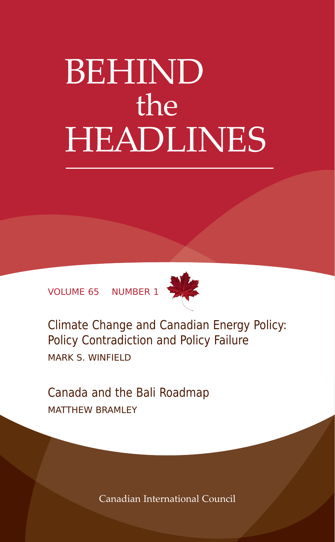# BEHIND the HEADLINES

VOLUME 65 NUMBER 1



Climate Change and Canadian Energy Policy: Policy Contradiction and Policy Failure MARK S. WINFIELD

Canada and the Bali Roadmap MATTHEW BRAMLEY

Canadian International Council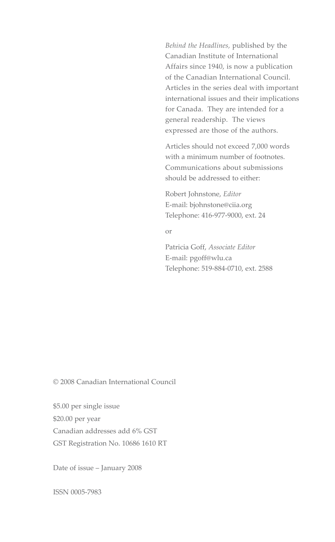*Behind the Headlines,* published by the Canadian Institute of International Affairs since 1940, is now a publication of the Canadian International Council. Articles in the series deal with important international issues and their implications for Canada. They are intended for a general readership. The views expressed are those of the authors.

Articles should not exceed 7,000 words with a minimum number of footnotes. Communications about submissions should be addressed to either:

Robert Johnstone, *Editor* E-mail: bjohnstone@ciia.org Telephone: 416-977-9000, ext. 24

or

Patricia Goff, *Associate Editor* E-mail: pgoff@wlu.ca Telephone: 519-884-0710, ext. 2588

© 2008 Canadian International Council

\$5.00 per single issue \$20.00 per year Canadian addresses add 6% GST GST Registration No. 10686 1610 RT

Date of issue – January 2008

ISSN 0005-7983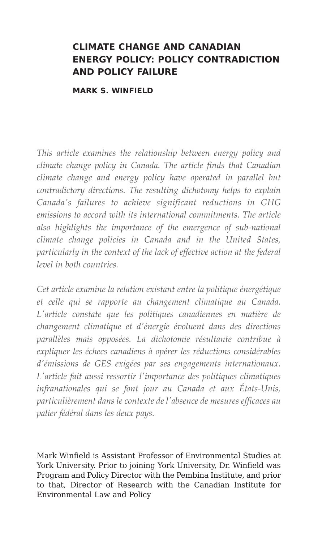# **CLIMATE CHANGE AND CANADIAN ENERGY POLICY: POLICY CONTRADICTION AND POLICY FAILURE**

**MARK S. WINFIELD**

*This article examines the relationship between energy policy and climate change policy in Canada. The article finds that Canadian climate change and energy policy have operated in parallel but contradictory directions. The resulting dichotomy helps to explain Canada's failures to achieve significant reductions in GHG emissions to accord with its international commitments. The article also highlights the importance of the emergence of sub-national climate change policies in Canada and in the United States, particularly in the context of the lack of effective action at the federal level in both countries.* 

*Cet article examine la relation existant entre la politique énergétique et celle qui se rapporte au changement climatique au Canada. L'article constate que les politiques canadiennes en matière de changement climatique et d'énergie évoluent dans des directions parallèles mais opposées. La dichotomie résultante contribue à expliquer les échecs canadiens à opérer les réductions considérables d'émissions de GES exigées par ses engagements internationaux. L'article fait aussi ressortir l'importance des politiques climatiques infranationales qui se font jour au Canada et aux États-Unis, particulièrement dans le contexte de l'absence de mesures efficaces au palier fédéral dans les deux pays.*

Mark Winfield is Assistant Professor of Environmental Studies at York University. Prior to joining York University, Dr. Winfield was Program and Policy Director with the Pembina Institute, and prior to that, Director of Research with the Canadian Institute for Environmental Law and Policy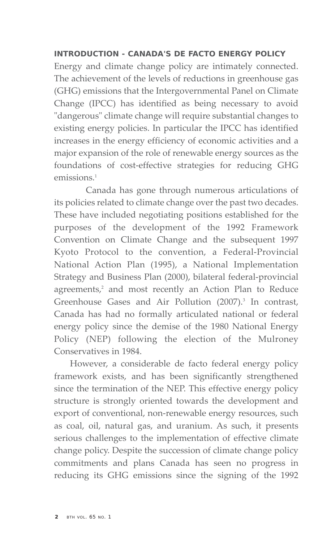# **INTRODUCTION - CANADA'S DE FACTO ENERGY POLICY**

Energy and climate change policy are intimately connected. The achievement of the levels of reductions in greenhouse gas (GHG) emissions that the Intergovernmental Panel on Climate Change (IPCC) has identified as being necessary to avoid "dangerous" climate change will require substantial changes to existing energy policies. In particular the IPCC has identified increases in the energy efficiency of economic activities and a major expansion of the role of renewable energy sources as the foundations of cost-effective strategies for reducing GHG emissions.<sup>1</sup>

Canada has gone through numerous articulations of its policies related to climate change over the past two decades. These have included negotiating positions established for the purposes of the development of the 1992 Framework Convention on Climate Change and the subsequent 1997 Kyoto Protocol to the convention, a Federal-Provincial National Action Plan (1995), a National Implementation Strategy and Business Plan (2000), bilateral federal-provincial agreements,<sup>2</sup> and most recently an Action Plan to Reduce Greenhouse Gases and Air Pollution (2007).<sup>3</sup> In contrast, Canada has had no formally articulated national or federal energy policy since the demise of the 1980 National Energy Policy (NEP) following the election of the Mulroney Conservatives in 1984.

However, a considerable de facto federal energy policy framework exists, and has been significantly strengthened since the termination of the NEP. This effective energy policy structure is strongly oriented towards the development and export of conventional, non-renewable energy resources, such as coal, oil, natural gas, and uranium. As such, it presents serious challenges to the implementation of effective climate change policy. Despite the succession of climate change policy commitments and plans Canada has seen no progress in reducing its GHG emissions since the signing of the 1992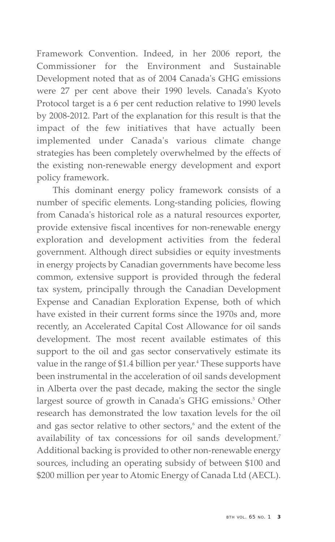Framework Convention. Indeed, in her 2006 report, the Commissioner for the Environment and Sustainable Development noted that as of 2004 Canada's GHG emissions were 27 per cent above their 1990 levels. Canada's Kyoto Protocol target is a 6 per cent reduction relative to 1990 levels by 2008-2012. Part of the explanation for this result is that the impact of the few initiatives that have actually been implemented under Canada's various climate change strategies has been completely overwhelmed by the effects of the existing non-renewable energy development and export policy framework.

This dominant energy policy framework consists of a number of specific elements. Long-standing policies, flowing from Canada's historical role as a natural resources exporter, provide extensive fiscal incentives for non-renewable energy exploration and development activities from the federal government. Although direct subsidies or equity investments in energy projects by Canadian governments have become less common, extensive support is provided through the federal tax system, principally through the Canadian Development Expense and Canadian Exploration Expense, both of which have existed in their current forms since the 1970s and, more recently, an Accelerated Capital Cost Allowance for oil sands development. The most recent available estimates of this support to the oil and gas sector conservatively estimate its value in the range of \$1.4 billion per year.<sup>4</sup> These supports have been instrumental in the acceleration of oil sands development in Alberta over the past decade, making the sector the single largest source of growth in Canada's GHG emissions.<sup>5</sup> Other research has demonstrated the low taxation levels for the oil and gas sector relative to other sectors,<sup>6</sup> and the extent of the availability of tax concessions for oil sands development.<sup>7</sup> Additional backing is provided to other non-renewable energy sources, including an operating subsidy of between \$100 and \$200 million per year to Atomic Energy of Canada Ltd (AECL).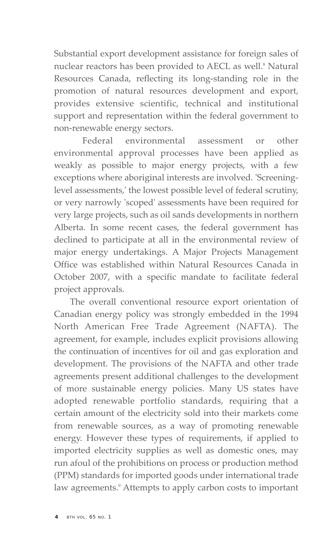Substantial export development assistance for foreign sales of nuclear reactors has been provided to AECL as well.<sup>8</sup> Natural Resources Canada, reflecting its long-standing role in the promotion of natural resources development and export, provides extensive scientific, technical and institutional support and representation within the federal government to non-renewable energy sectors.

Federal environmental assessment or other environmental approval processes have been applied as weakly as possible to major energy projects, with a few exceptions where aboriginal interests are involved. 'Screeninglevel assessments,' the lowest possible level of federal scrutiny, or very narrowly 'scoped' assessments have been required for very large projects, such as oil sands developments in northern Alberta. In some recent cases, the federal government has declined to participate at all in the environmental review of major energy undertakings. A Major Projects Management Office was established within Natural Resources Canada in October 2007, with a specific mandate to facilitate federal project approvals.

The overall conventional resource export orientation of Canadian energy policy was strongly embedded in the 1994 North American Free Trade Agreement (NAFTA). The agreement, for example, includes explicit provisions allowing the continuation of incentives for oil and gas exploration and development. The provisions of the NAFTA and other trade agreements present additional challenges to the development of more sustainable energy policies. Many US states have adopted renewable portfolio standards, requiring that a certain amount of the electricity sold into their markets come from renewable sources, as a way of promoting renewable energy. However these types of requirements, if applied to imported electricity supplies as well as domestic ones, may run afoul of the prohibitions on process or production method (PPM) standards for imported goods under international trade law agreements.<sup>9</sup> Attempts to apply carbon costs to important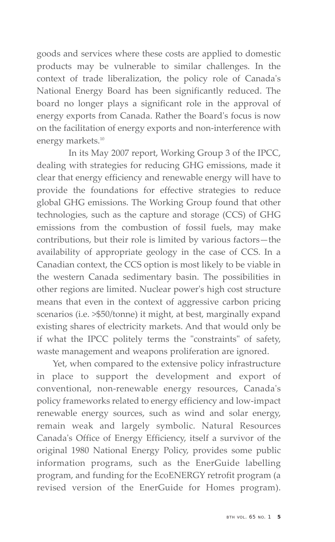goods and services where these costs are applied to domestic products may be vulnerable to similar challenges. In the context of trade liberalization, the policy role of Canada's National Energy Board has been significantly reduced. The board no longer plays a significant role in the approval of energy exports from Canada. Rather the Board's focus is now on the facilitation of energy exports and non-interference with energy markets.<sup>10</sup>

In its May 2007 report, Working Group 3 of the IPCC, dealing with strategies for reducing GHG emissions, made it clear that energy efficiency and renewable energy will have to provide the foundations for effective strategies to reduce global GHG emissions. The Working Group found that other technologies, such as the capture and storage (CCS) of GHG emissions from the combustion of fossil fuels, may make contributions, but their role is limited by various factors—the availability of appropriate geology in the case of CCS. In a Canadian context, the CCS option is most likely to be viable in the western Canada sedimentary basin. The possibilities in other regions are limited. Nuclear power's high cost structure means that even in the context of aggressive carbon pricing scenarios (i.e. >\$50/tonne) it might, at best, marginally expand existing shares of electricity markets. And that would only be if what the IPCC politely terms the "constraints" of safety, waste management and weapons proliferation are ignored.

Yet, when compared to the extensive policy infrastructure in place to support the development and export of conventional, non-renewable energy resources, Canada's policy frameworks related to energy efficiency and low-impact renewable energy sources, such as wind and solar energy, remain weak and largely symbolic. Natural Resources Canada's Office of Energy Efficiency, itself a survivor of the original 1980 National Energy Policy, provides some public information programs, such as the EnerGuide labelling program, and funding for the EcoENERGY retrofit program (a revised version of the EnerGuide for Homes program).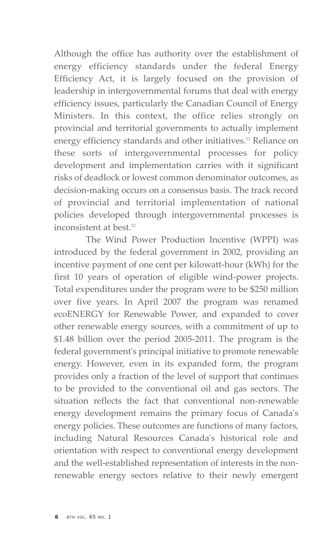Although the office has authority over the establishment of energy efficiency standards under the federal Energy Efficiency Act, it is largely focused on the provision of leadership in intergovernmental forums that deal with energy efficiency issues, particularly the Canadian Council of Energy Ministers. In this context, the office relies strongly on provincial and territorial governments to actually implement energy efficiency standards and other initiatives.<sup>11</sup> Reliance on these sorts of intergovernmental processes for policy development and implementation carries with it significant risks of deadlock or lowest common denominator outcomes, as decision-making occurs on a consensus basis. The track record of provincial and territorial implementation of national policies developed through intergovernmental processes is inconsistent at best.<sup>12</sup>

The Wind Power Production Incentive (WPPI) was introduced by the federal government in 2002, providing an incentive payment of one cent per kilowatt-hour (kWh) for the first 10 years of operation of eligible wind-power projects. Total expenditures under the program were to be \$250 million over five years. In April 2007 the program was renamed ecoENERGY for Renewable Power, and expanded to cover other renewable energy sources, with a commitment of up to \$1.48 billion over the period 2005-2011. The program is the federal government's principal initiative to promote renewable energy. However, even in its expanded form, the program provides only a fraction of the level of support that continues to be provided to the conventional oil and gas sectors. The situation reflects the fact that conventional non-renewable energy development remains the primary focus of Canada's energy policies. These outcomes are functions of many factors, including Natural Resources Canada's historical role and orientation with respect to conventional energy development and the well-established representation of interests in the nonrenewable energy sectors relative to their newly emergent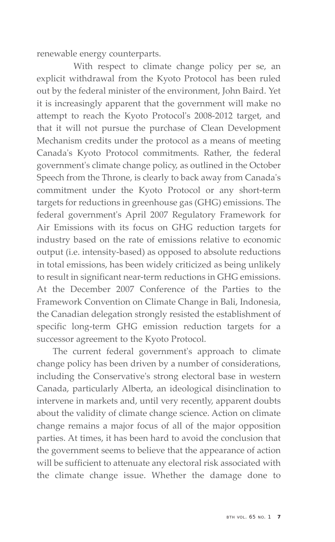renewable energy counterparts.

With respect to climate change policy per se, an explicit withdrawal from the Kyoto Protocol has been ruled out by the federal minister of the environment, John Baird. Yet it is increasingly apparent that the government will make no attempt to reach the Kyoto Protocol's 2008-2012 target, and that it will not pursue the purchase of Clean Development Mechanism credits under the protocol as a means of meeting Canada's Kyoto Protocol commitments. Rather, the federal government's climate change policy, as outlined in the October Speech from the Throne, is clearly to back away from Canada's commitment under the Kyoto Protocol or any short-term targets for reductions in greenhouse gas (GHG) emissions. The federal government's April 2007 Regulatory Framework for Air Emissions with its focus on GHG reduction targets for industry based on the rate of emissions relative to economic output (i.e. intensity-based) as opposed to absolute reductions in total emissions, has been widely criticized as being unlikely to result in significant near-term reductions in GHG emissions. At the December 2007 Conference of the Parties to the Framework Convention on Climate Change in Bali, Indonesia, the Canadian delegation strongly resisted the establishment of specific long-term GHG emission reduction targets for a successor agreement to the Kyoto Protocol.

The current federal government's approach to climate change policy has been driven by a number of considerations, including the Conservative's strong electoral base in western Canada, particularly Alberta, an ideological disinclination to intervene in markets and, until very recently, apparent doubts about the validity of climate change science. Action on climate change remains a major focus of all of the major opposition parties. At times, it has been hard to avoid the conclusion that the government seems to believe that the appearance of action will be sufficient to attenuate any electoral risk associated with the climate change issue. Whether the damage done to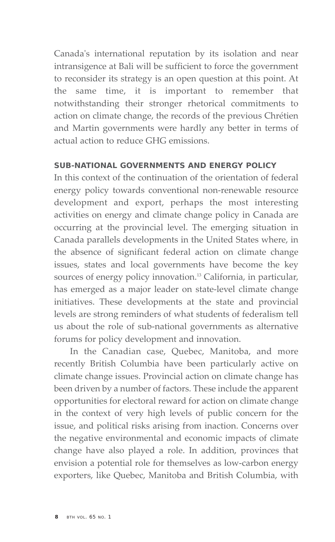Canada's international reputation by its isolation and near intransigence at Bali will be sufficient to force the government to reconsider its strategy is an open question at this point. At the same time, it is important to remember that notwithstanding their stronger rhetorical commitments to action on climate change, the records of the previous Chrétien and Martin governments were hardly any better in terms of actual action to reduce GHG emissions.

# **SUB-NATIONAL GOVERNMENTS AND ENERGY POLICY**

In this context of the continuation of the orientation of federal energy policy towards conventional non-renewable resource development and export, perhaps the most interesting activities on energy and climate change policy in Canada are occurring at the provincial level. The emerging situation in Canada parallels developments in the United States where, in the absence of significant federal action on climate change issues, states and local governments have become the key sources of energy policy innovation.<sup>13</sup> California, in particular, has emerged as a major leader on state-level climate change initiatives. These developments at the state and provincial levels are strong reminders of what students of federalism tell us about the role of sub-national governments as alternative forums for policy development and innovation.

In the Canadian case, Quebec, Manitoba, and more recently British Columbia have been particularly active on climate change issues. Provincial action on climate change has been driven by a number of factors. These include the apparent opportunities for electoral reward for action on climate change in the context of very high levels of public concern for the issue, and political risks arising from inaction. Concerns over the negative environmental and economic impacts of climate change have also played a role. In addition, provinces that envision a potential role for themselves as low-carbon energy exporters, like Quebec, Manitoba and British Columbia, with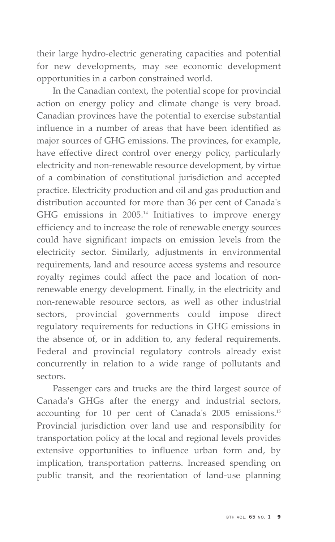their large hydro-electric generating capacities and potential for new developments, may see economic development opportunities in a carbon constrained world.

In the Canadian context, the potential scope for provincial action on energy policy and climate change is very broad. Canadian provinces have the potential to exercise substantial influence in a number of areas that have been identified as major sources of GHG emissions. The provinces, for example, have effective direct control over energy policy, particularly electricity and non-renewable resource development, by virtue of a combination of constitutional jurisdiction and accepted practice. Electricity production and oil and gas production and distribution accounted for more than 36 per cent of Canada's GHG emissions in 2005.<sup>14</sup> Initiatives to improve energy efficiency and to increase the role of renewable energy sources could have significant impacts on emission levels from the electricity sector. Similarly, adjustments in environmental requirements, land and resource access systems and resource royalty regimes could affect the pace and location of nonrenewable energy development. Finally, in the electricity and non-renewable resource sectors, as well as other industrial sectors, provincial governments could impose direct regulatory requirements for reductions in GHG emissions in the absence of, or in addition to, any federal requirements. Federal and provincial regulatory controls already exist concurrently in relation to a wide range of pollutants and sectors.

Passenger cars and trucks are the third largest source of Canada's GHGs after the energy and industrial sectors, accounting for 10 per cent of Canada's 2005 emissions.15 Provincial jurisdiction over land use and responsibility for transportation policy at the local and regional levels provides extensive opportunities to influence urban form and, by implication, transportation patterns. Increased spending on public transit, and the reorientation of land-use planning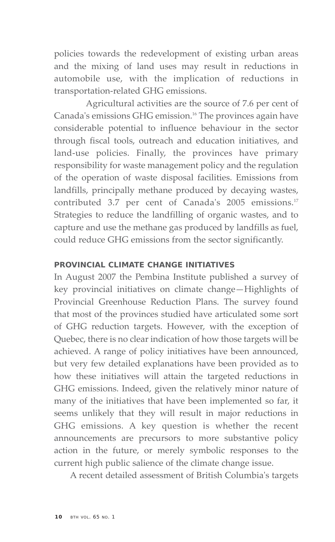policies towards the redevelopment of existing urban areas and the mixing of land uses may result in reductions in automobile use, with the implication of reductions in transportation-related GHG emissions.

Agricultural activities are the source of 7.6 per cent of Canada's emissions GHG emission.16 The provinces again have considerable potential to influence behaviour in the sector through fiscal tools, outreach and education initiatives, and land-use policies. Finally, the provinces have primary responsibility for waste management policy and the regulation of the operation of waste disposal facilities. Emissions from landfills, principally methane produced by decaying wastes, contributed 3.7 per cent of Canada's 2005 emissions.<sup>17</sup> Strategies to reduce the landfilling of organic wastes, and to capture and use the methane gas produced by landfills as fuel, could reduce GHG emissions from the sector significantly.

# **PROVINCIAL CLIMATE CHANGE INITIATIVES**

In August 2007 the Pembina Institute published a survey of key provincial initiatives on climate change—Highlights of Provincial Greenhouse Reduction Plans. The survey found that most of the provinces studied have articulated some sort of GHG reduction targets. However, with the exception of Quebec, there is no clear indication of how those targets will be achieved. A range of policy initiatives have been announced, but very few detailed explanations have been provided as to how these initiatives will attain the targeted reductions in GHG emissions. Indeed, given the relatively minor nature of many of the initiatives that have been implemented so far, it seems unlikely that they will result in major reductions in GHG emissions. A key question is whether the recent announcements are precursors to more substantive policy action in the future, or merely symbolic responses to the current high public salience of the climate change issue.

A recent detailed assessment of British Columbia's targets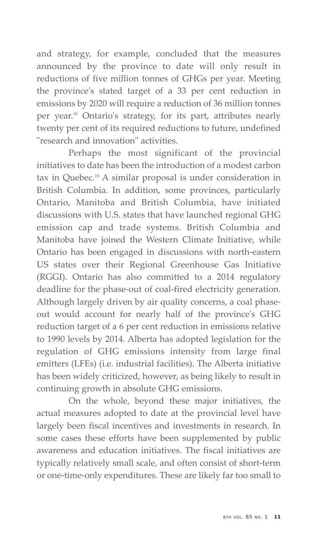and strategy, for example, concluded that the measures announced by the province to date will only result in reductions of five million tonnes of GHGs per year. Meeting the province's stated target of a 33 per cent reduction in emissions by 2020 will require a reduction of 36 million tonnes per year.18 Ontario's strategy, for its part, attributes nearly twenty per cent of its required reductions to future, undefined "research and innovation" activities.

Perhaps the most significant of the provincial initiatives to date has been the introduction of a modest carbon tax in Quebec.<sup>19</sup> A similar proposal is under consideration in British Columbia. In addition, some provinces, particularly Ontario, Manitoba and British Columbia, have initiated discussions with U.S. states that have launched regional GHG emission cap and trade systems. British Columbia and Manitoba have joined the Western Climate Initiative, while Ontario has been engaged in discussions with north-eastern US states over their Regional Greenhouse Gas Initiative (RGGI). Ontario has also committed to a 2014 regulatory deadline for the phase-out of coal-fired electricity generation. Although largely driven by air quality concerns, a coal phaseout would account for nearly half of the province's GHG reduction target of a 6 per cent reduction in emissions relative to 1990 levels by 2014. Alberta has adopted legislation for the regulation of GHG emissions intensity from large final emitters (LFEs) (i.e. industrial facilities). The Alberta initiative has been widely criticized, however, as being likely to result in continuing growth in absolute GHG emissions.

On the whole, beyond these major initiatives, the actual measures adopted to date at the provincial level have largely been fiscal incentives and investments in research. In some cases these efforts have been supplemented by public awareness and education initiatives. The fiscal initiatives are typically relatively small scale, and often consist of short-term or one-time-only expenditures. These are likely far too small to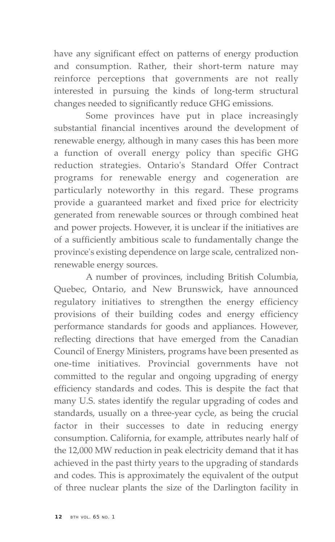have any significant effect on patterns of energy production and consumption. Rather, their short-term nature may reinforce perceptions that governments are not really interested in pursuing the kinds of long-term structural changes needed to significantly reduce GHG emissions.

Some provinces have put in place increasingly substantial financial incentives around the development of renewable energy, although in many cases this has been more a function of overall energy policy than specific GHG reduction strategies. Ontario's Standard Offer Contract programs for renewable energy and cogeneration are particularly noteworthy in this regard. These programs provide a guaranteed market and fixed price for electricity generated from renewable sources or through combined heat and power projects. However, it is unclear if the initiatives are of a sufficiently ambitious scale to fundamentally change the province's existing dependence on large scale, centralized nonrenewable energy sources.

A number of provinces, including British Columbia, Quebec, Ontario, and New Brunswick, have announced regulatory initiatives to strengthen the energy efficiency provisions of their building codes and energy efficiency performance standards for goods and appliances. However, reflecting directions that have emerged from the Canadian Council of Energy Ministers, programs have been presented as one-time initiatives. Provincial governments have not committed to the regular and ongoing upgrading of energy efficiency standards and codes. This is despite the fact that many U.S. states identify the regular upgrading of codes and standards, usually on a three-year cycle, as being the crucial factor in their successes to date in reducing energy consumption. California, for example, attributes nearly half of the 12,000 MW reduction in peak electricity demand that it has achieved in the past thirty years to the upgrading of standards and codes. This is approximately the equivalent of the output of three nuclear plants the size of the Darlington facility in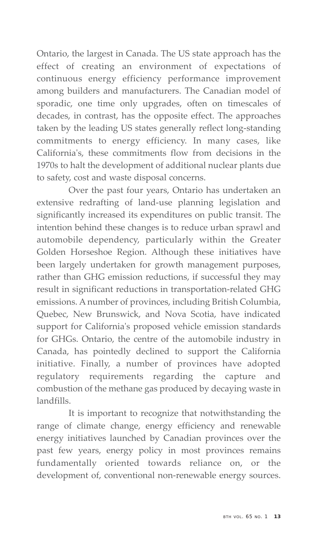Ontario, the largest in Canada. The US state approach has the effect of creating an environment of expectations of continuous energy efficiency performance improvement among builders and manufacturers. The Canadian model of sporadic, one time only upgrades, often on timescales of decades, in contrast, has the opposite effect. The approaches taken by the leading US states generally reflect long-standing commitments to energy efficiency. In many cases, like California's, these commitments flow from decisions in the 1970s to halt the development of additional nuclear plants due to safety, cost and waste disposal concerns.

Over the past four years, Ontario has undertaken an extensive redrafting of land-use planning legislation and significantly increased its expenditures on public transit. The intention behind these changes is to reduce urban sprawl and automobile dependency, particularly within the Greater Golden Horseshoe Region. Although these initiatives have been largely undertaken for growth management purposes, rather than GHG emission reductions, if successful they may result in significant reductions in transportation-related GHG emissions. A number of provinces, including British Columbia, Quebec, New Brunswick, and Nova Scotia, have indicated support for California's proposed vehicle emission standards for GHGs. Ontario, the centre of the automobile industry in Canada, has pointedly declined to support the California initiative. Finally, a number of provinces have adopted regulatory requirements regarding the capture and combustion of the methane gas produced by decaying waste in landfills.

It is important to recognize that notwithstanding the range of climate change, energy efficiency and renewable energy initiatives launched by Canadian provinces over the past few years, energy policy in most provinces remains fundamentally oriented towards reliance on, or the development of, conventional non-renewable energy sources.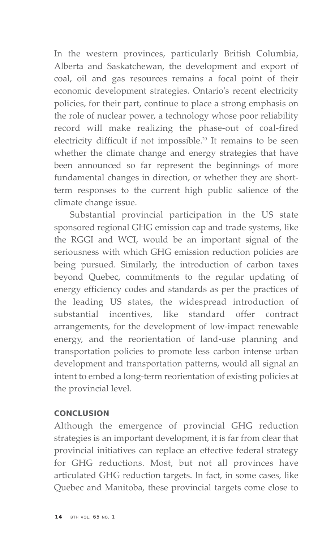In the western provinces, particularly British Columbia, Alberta and Saskatchewan, the development and export of coal, oil and gas resources remains a focal point of their economic development strategies. Ontario's recent electricity policies, for their part, continue to place a strong emphasis on the role of nuclear power, a technology whose poor reliability record will make realizing the phase-out of coal-fired electricity difficult if not impossible.<sup>20</sup> It remains to be seen whether the climate change and energy strategies that have been announced so far represent the beginnings of more fundamental changes in direction, or whether they are shortterm responses to the current high public salience of the climate change issue.

Substantial provincial participation in the US state sponsored regional GHG emission cap and trade systems, like the RGGI and WCI, would be an important signal of the seriousness with which GHG emission reduction policies are being pursued. Similarly, the introduction of carbon taxes beyond Quebec, commitments to the regular updating of energy efficiency codes and standards as per the practices of the leading US states, the widespread introduction of substantial incentives, like standard offer contract arrangements, for the development of low-impact renewable energy, and the reorientation of land-use planning and transportation policies to promote less carbon intense urban development and transportation patterns, would all signal an intent to embed a long-term reorientation of existing policies at the provincial level.

# **CONCLUSION**

Although the emergence of provincial GHG reduction strategies is an important development, it is far from clear that provincial initiatives can replace an effective federal strategy for GHG reductions. Most, but not all provinces have articulated GHG reduction targets. In fact, in some cases, like Quebec and Manitoba, these provincial targets come close to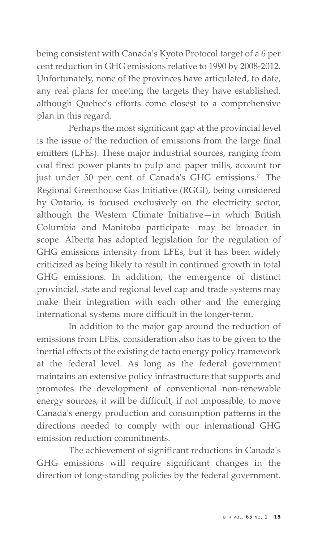being consistent with Canada's Kyoto Protocol target of a 6 per cent reduction in GHG emissions relative to 1990 by 2008-2012. Unfortunately, none of the provinces have articulated, to date, any real plans for meeting the targets they have established, although Quebec's efforts come closest to a comprehensive plan in this regard.

Perhaps the most significant gap at the provincial level is the issue of the reduction of emissions from the large final emitters (LFEs). These major industrial sources, ranging from coal fired power plants to pulp and paper mills, account for just under 50 per cent of Canada's GHG emissions.<sup>21</sup> The Regional Greenhouse Gas Initiative (RGGI), being considered by Ontario, is focused exclusively on the electricity sector, although the Western Climate Initiative—in which British Columbia and Manitoba participate—may be broader in scope. Alberta has adopted legislation for the regulation of GHG emissions intensity from LFEs, but it has been widely criticized as being likely to result in continued growth in total GHG emissions. In addition, the emergence of distinct provincial, state and regional level cap and trade systems may make their integration with each other and the emerging international systems more difficult in the longer-term.

In addition to the major gap around the reduction of emissions from LFEs, consideration also has to be given to the inertial effects of the existing de facto energy policy framework at the federal level. As long as the federal government maintains an extensive policy infrastructure that supports and promotes the development of conventional non-renewable energy sources, it will be difficult, if not impossible, to move Canada's energy production and consumption patterns in the directions needed to comply with our international GHG emission reduction commitments.

The achievement of significant reductions in Canada's GHG emissions will require significant changes in the direction of long-standing policies by the federal government.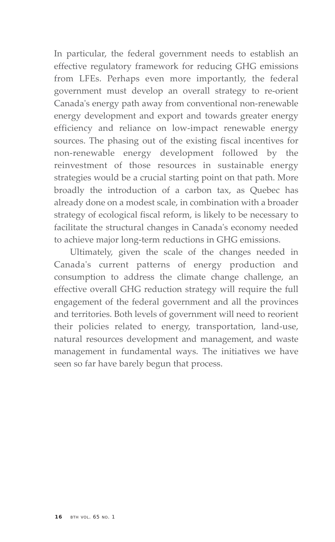In particular, the federal government needs to establish an effective regulatory framework for reducing GHG emissions from LFEs. Perhaps even more importantly, the federal government must develop an overall strategy to re-orient Canada's energy path away from conventional non-renewable energy development and export and towards greater energy efficiency and reliance on low-impact renewable energy sources. The phasing out of the existing fiscal incentives for non-renewable energy development followed by the reinvestment of those resources in sustainable energy strategies would be a crucial starting point on that path. More broadly the introduction of a carbon tax, as Quebec has already done on a modest scale, in combination with a broader strategy of ecological fiscal reform, is likely to be necessary to facilitate the structural changes in Canada's economy needed to achieve major long-term reductions in GHG emissions.

Ultimately, given the scale of the changes needed in Canada's current patterns of energy production and consumption to address the climate change challenge, an effective overall GHG reduction strategy will require the full engagement of the federal government and all the provinces and territories. Both levels of government will need to reorient their policies related to energy, transportation, land-use, natural resources development and management, and waste management in fundamental ways. The initiatives we have seen so far have barely begun that process.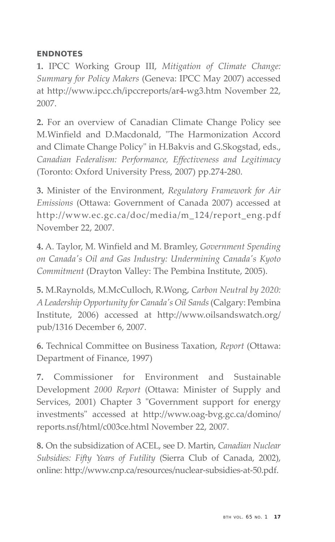# **ENDNOTES**

**1.** IPCC Working Group III, *Mitigation of Climate Change: Summary for Policy Makers* (Geneva: IPCC May 2007) accessed at http://www.ipcc.ch/ipccreports/ar4-wg3.htm November 22, 2007.

**2.** For an overview of Canadian Climate Change Policy see M.Winfield and D.Macdonald, "The Harmonization Accord and Climate Change Policy" in H.Bakvis and G.Skogstad, eds., *Canadian Federalism: Performance, Effectiveness and Legitimacy* (Toronto: Oxford University Press, 2007) pp.274-280.

**3.** Minister of the Environment, *Regulatory Framework for Air Emissions* (Ottawa: Government of Canada 2007) accessed at http://www.ec.gc.ca/doc/media/m\_124/report\_eng.pdf November 22, 2007.

**4.** A. Taylor, M. Winfield and M. Bramley, *Government Spending on Canada's Oil and Gas Industry: Undermining Canada's Kyoto Commitment* (Drayton Valley: The Pembina Institute, 2005).

**5.** M.Raynolds, M.McCulloch, R.Wong, *Carbon Neutral by 2020: A Leadership Opportunity for Canada's Oil Sands* (Calgary: Pembina Institute, 2006) accessed at http://www.oilsandswatch.org/ pub/1316 December 6, 2007.

**6.** Technical Committee on Business Taxation, *Report* (Ottawa: Department of Finance, 1997)

**7.** Commissioner for Environment and Sustainable Development *2000 Report* (Ottawa: Minister of Supply and Services, 2001) Chapter 3 "Government support for energy investments" accessed at http://www.oag-bvg.gc.ca/domino/ reports.nsf/html/c003ce.html November 22, 2007.

**8.** On the subsidization of ACEL, see D. Martin, *Canadian Nuclear Subsidies: Fifty Years of Futility* (Sierra Club of Canada, 2002), online: http://www.cnp.ca/resources/nuclear-subsidies-at-50.pdf.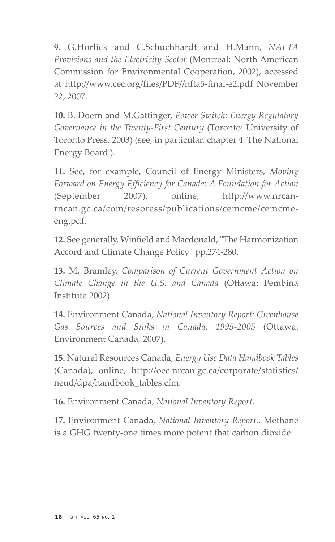**9.** G.Horlick and C.Schuchhardt and H.Mann, *NAFTA Provisions and the Electricity Sector* (Montreal: North American Commission for Environmental Cooperation, 2002), accessed at http://www.cec.org/files/PDF//nfta5-final-e2.pdf November 22, 2007.

**10.** B. Doern and M.Gattinger, *Power Switch: Energy Regulatory Governance in the Twenty-First Century* (Toronto: University of Toronto Press, 2003) (see, in particular, chapter 4 'The National Energy Board').

**11.** See, for example, Council of Energy Ministers, *Moving Forward on Energy Efficiency for Canada: A Foundation for Action* (September 2007), online, http://www.nrcanrncan.gc.ca/com/resoress/publications/cemcme/cemcmeeng.pdf.

**12.** See generally, Winfield and Macdonald, "The Harmonization Accord and Climate Change Policy" pp.274-280.

**13.** M. Bramley, *Comparison of Current Government Action on Climate Change in the U.S. and Canada* (Ottawa: Pembina Institute 2002).

**14.** Environment Canada, *National Inventory Report: Greenhouse Gas Sources and Sinks in Canada, 1995-2005* (Ottawa: Environment Canada, 2007).

**15.** Natural Resources Canada, *Energy Use Data Handbook Tables* (Canada), online, http://oee.nrcan.gc.ca/corporate/statistics/ neud/dpa/handbook\_tables.cfm.

**16.** Environment Canada, *National Inventory Report*.

**17.** Environment Canada, *National Inventory Report..* Methane is a GHG twenty-one times more potent that carbon dioxide.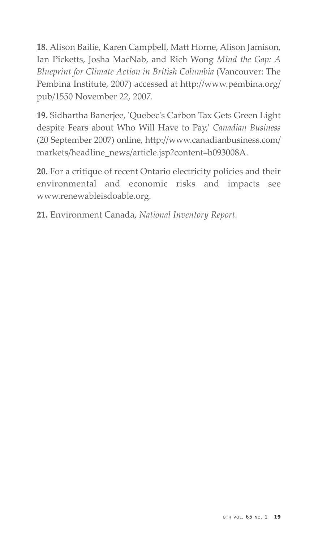**18.** Alison Bailie, Karen Campbell, Matt Horne, Alison Jamison, Ian Picketts, Josha MacNab, and Rich Wong *Mind the Gap: A Blueprint for Climate Action in British Columbia* (Vancouver: The Pembina Institute, 2007) accessed at http://www.pembina.org/ pub/1550 November 22, 2007.

**19.** Sidhartha Banerjee, 'Quebec's Carbon Tax Gets Green Light despite Fears about Who Will Have to Pay,' *Canadian Business* (20 September 2007) online, http://www.canadianbusiness.com/ markets/headline\_news/article.jsp?content=b093008A.

**20.** For a critique of recent Ontario electricity policies and their environmental and economic risks and impacts see www.renewableisdoable.org.

**21.** Environment Canada, *National Inventory Report.*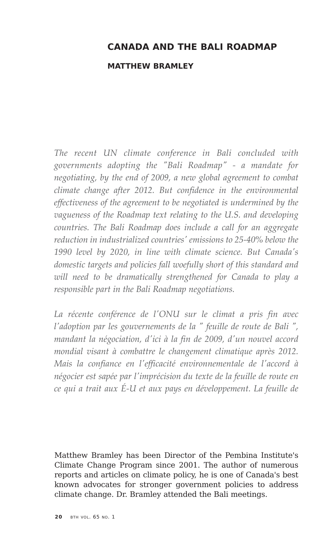# **CANADA AND THE BALI ROADMAP**

#### **MATTHEW BRAMLEY**

*The recent UN climate conference in Bali concluded with governments adopting the "Bali Roadmap" - a mandate for negotiating, by the end of 2009, a new global agreement to combat climate change after 2012. But confidence in the environmental effectiveness of the agreement to be negotiated is undermined by the vagueness of the Roadmap text relating to the U.S. and developing countries. The Bali Roadmap does include a call for an aggregate reduction in industrialized countries' emissions to 25-40% below the 1990 level by 2020, in line with climate science. But Canada's domestic targets and policies fall woefully short of this standard and will need to be dramatically strengthened for Canada to play a responsible part in the Bali Roadmap negotiations.* 

*La récente conférence de l'ONU sur le climat a pris fin avec l'adoption par les gouvernements de la " feuille de route de Bali ", mandant la négociation, d'ici à la fin de 2009, d'un nouvel accord mondial visant à combattre le changement climatique après 2012. Mais la confiance en l'efficacité environnementale de l'accord à négocier est sapée par l'imprécision du texte de la feuille de route en ce qui a trait aux É-U et aux pays en développement. La feuille de*

Matthew Bramley has been Director of the Pembina Institute's Climate Change Program since 2001. The author of numerous reports and articles on climate policy, he is one of Canada's best known advocates for stronger government policies to address climate change. Dr. Bramley attended the Bali meetings.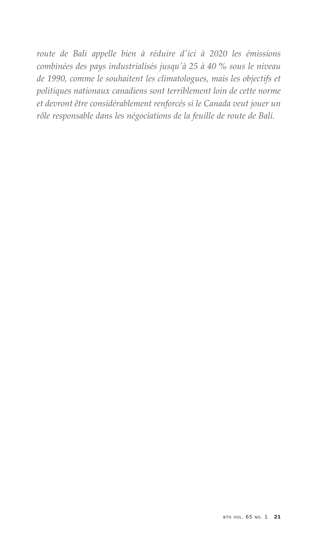*route de Bali appelle bien à réduire d'ici à 2020 les émissions combinées des pays industrialisés jusqu'à 25 à 40 % sous le niveau de 1990, comme le souhaitent les climatologues, mais les objectifs et politiques nationaux canadiens sont terriblement loin de cette norme et devront être considérablement renforcés si le Canada veut jouer un rôle responsable dans les négociations de la feuille de route de Bali.*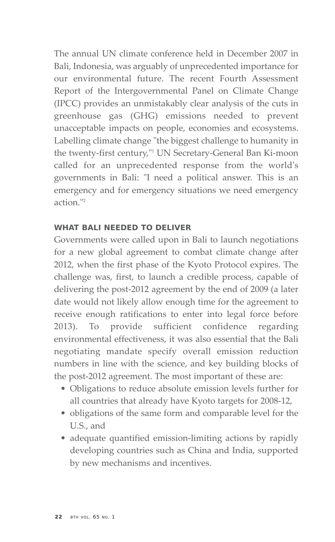The annual UN climate conference held in December 2007 in Bali, Indonesia, was arguably of unprecedented importance for our environmental future. The recent Fourth Assessment Report of the Intergovernmental Panel on Climate Change (IPCC) provides an unmistakably clear analysis of the cuts in greenhouse gas (GHG) emissions needed to prevent unacceptable impacts on people, economies and ecosystems. Labelling climate change "the biggest challenge to humanity in the twenty-first century,"1 UN Secretary-General Ban Ki-moon called for an unprecedented response from the world's governments in Bali: "I need a political answer. This is an emergency and for emergency situations we need emergency action."2

# **WHAT BALI NEEDED TO DELIVER**

Governments were called upon in Bali to launch negotiations for a new global agreement to combat climate change after 2012, when the first phase of the Kyoto Protocol expires. The challenge was, first, to launch a credible process, capable of delivering the post-2012 agreement by the end of 2009 (a later date would not likely allow enough time for the agreement to receive enough ratifications to enter into legal force before 2013). To provide sufficient confidence regarding environmental effectiveness, it was also essential that the Bali negotiating mandate specify overall emission reduction numbers in line with the science, and key building blocks of the post-2012 agreement. The most important of these are:

- Obligations to reduce absolute emission levels further for all countries that already have Kyoto targets for 2008-12,
- obligations of the same form and comparable level for the U.S., and
- adequate quantified emission-limiting actions by rapidly developing countries such as China and India, supported by new mechanisms and incentives.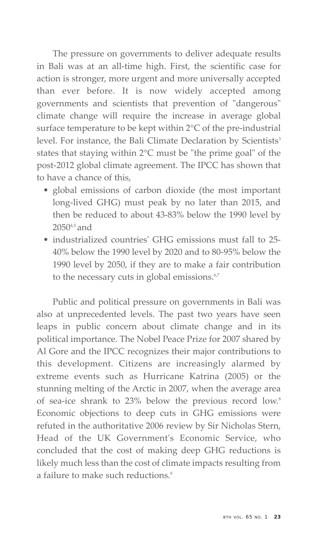The pressure on governments to deliver adequate results in Bali was at an all-time high. First, the scientific case for action is stronger, more urgent and more universally accepted than ever before. It is now widely accepted among governments and scientists that prevention of "dangerous" climate change will require the increase in average global surface temperature to be kept within 2°C of the pre-industrial level. For instance, the Bali Climate Declaration by Scientists<sup>3</sup> states that staying within 2°C must be "the prime goal" of the post-2012 global climate agreement. The IPCC has shown that to have a chance of this,

- global emissions of carbon dioxide (the most important long-lived GHG) must peak by no later than 2015, and then be reduced to about 43-83% below the 1990 level by 20504,5 and
- industrialized countries' GHG emissions must fall to 25- 40% below the 1990 level by 2020 and to 80-95% below the 1990 level by 2050, if they are to make a fair contribution to the necessary cuts in global emissions.<sup>6,7</sup>

Public and political pressure on governments in Bali was also at unprecedented levels. The past two years have seen leaps in public concern about climate change and in its political importance. The Nobel Peace Prize for 2007 shared by Al Gore and the IPCC recognizes their major contributions to this development. Citizens are increasingly alarmed by extreme events such as Hurricane Katrina (2005) or the stunning melting of the Arctic in 2007, when the average area of sea-ice shrank to 23% below the previous record low.<sup>8</sup> Economic objections to deep cuts in GHG emissions were refuted in the authoritative 2006 review by Sir Nicholas Stern, Head of the UK Government's Economic Service, who concluded that the cost of making deep GHG reductions is likely much less than the cost of climate impacts resulting from a failure to make such reductions.<sup>9</sup>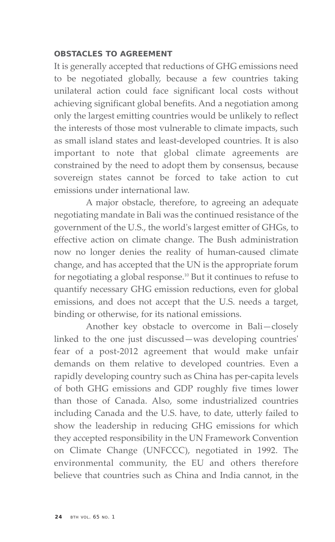# **OBSTACLES TO AGREEMENT**

It is generally accepted that reductions of GHG emissions need to be negotiated globally, because a few countries taking unilateral action could face significant local costs without achieving significant global benefits. And a negotiation among only the largest emitting countries would be unlikely to reflect the interests of those most vulnerable to climate impacts, such as small island states and least-developed countries. It is also important to note that global climate agreements are constrained by the need to adopt them by consensus, because sovereign states cannot be forced to take action to cut emissions under international law.

A major obstacle, therefore, to agreeing an adequate negotiating mandate in Bali was the continued resistance of the government of the U.S., the world's largest emitter of GHGs, to effective action on climate change. The Bush administration now no longer denies the reality of human-caused climate change, and has accepted that the UN is the appropriate forum for negotiating a global response.<sup>10</sup> But it continues to refuse to quantify necessary GHG emission reductions, even for global emissions, and does not accept that the U.S. needs a target, binding or otherwise, for its national emissions.

Another key obstacle to overcome in Bali—closely linked to the one just discussed—was developing countries' fear of a post-2012 agreement that would make unfair demands on them relative to developed countries. Even a rapidly developing country such as China has per-capita levels of both GHG emissions and GDP roughly five times lower than those of Canada. Also, some industrialized countries including Canada and the U.S. have, to date, utterly failed to show the leadership in reducing GHG emissions for which they accepted responsibility in the UN Framework Convention on Climate Change (UNFCCC), negotiated in 1992. The environmental community, the EU and others therefore believe that countries such as China and India cannot, in the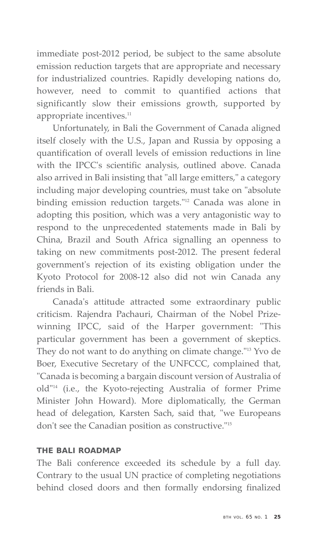immediate post-2012 period, be subject to the same absolute emission reduction targets that are appropriate and necessary for industrialized countries. Rapidly developing nations do, however, need to commit to quantified actions that significantly slow their emissions growth, supported by appropriate incentives.<sup>11</sup>

Unfortunately, in Bali the Government of Canada aligned itself closely with the U.S., Japan and Russia by opposing a quantification of overall levels of emission reductions in line with the IPCC's scientific analysis, outlined above. Canada also arrived in Bali insisting that "all large emitters," a category including major developing countries, must take on "absolute binding emission reduction targets."<sup>12</sup> Canada was alone in adopting this position, which was a very antagonistic way to respond to the unprecedented statements made in Bali by China, Brazil and South Africa signalling an openness to taking on new commitments post-2012. The present federal government's rejection of its existing obligation under the Kyoto Protocol for 2008-12 also did not win Canada any friends in Bali.

Canada's attitude attracted some extraordinary public criticism. Rajendra Pachauri, Chairman of the Nobel Prizewinning IPCC, said of the Harper government: "This particular government has been a government of skeptics. They do not want to do anything on climate change."13 Yvo de Boer, Executive Secretary of the UNFCCC, complained that, "Canada is becoming a bargain discount version of Australia of old"14 (i.e., the Kyoto-rejecting Australia of former Prime Minister John Howard). More diplomatically, the German head of delegation, Karsten Sach, said that, "we Europeans don't see the Canadian position as constructive."15

# **THE BALI ROADMAP**

The Bali conference exceeded its schedule by a full day. Contrary to the usual UN practice of completing negotiations behind closed doors and then formally endorsing finalized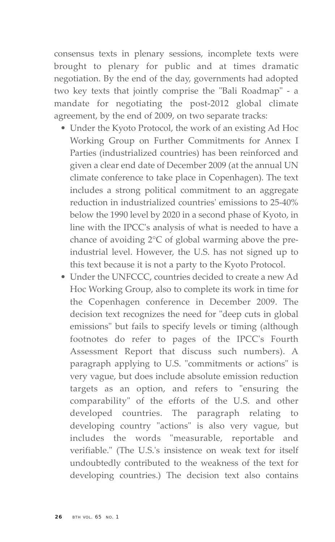consensus texts in plenary sessions, incomplete texts were brought to plenary for public and at times dramatic negotiation. By the end of the day, governments had adopted two key texts that jointly comprise the "Bali Roadmap" - a mandate for negotiating the post-2012 global climate agreement, by the end of 2009, on two separate tracks:

- Under the Kyoto Protocol, the work of an existing Ad Hoc Working Group on Further Commitments for Annex I Parties (industrialized countries) has been reinforced and given a clear end date of December 2009 (at the annual UN climate conference to take place in Copenhagen). The text includes a strong political commitment to an aggregate reduction in industrialized countries' emissions to 25-40% below the 1990 level by 2020 in a second phase of Kyoto, in line with the IPCC's analysis of what is needed to have a chance of avoiding 2°C of global warming above the preindustrial level. However, the U.S. has not signed up to this text because it is not a party to the Kyoto Protocol.
- Under the UNFCCC, countries decided to create a new Ad Hoc Working Group, also to complete its work in time for the Copenhagen conference in December 2009. The decision text recognizes the need for "deep cuts in global emissions" but fails to specify levels or timing (although footnotes do refer to pages of the IPCC's Fourth Assessment Report that discuss such numbers). A paragraph applying to U.S. "commitments or actions" is very vague, but does include absolute emission reduction targets as an option, and refers to "ensuring the comparability" of the efforts of the U.S. and other developed countries. The paragraph relating to developing country "actions" is also very vague, but includes the words "measurable, reportable and verifiable." (The U.S.'s insistence on weak text for itself undoubtedly contributed to the weakness of the text for developing countries.) The decision text also contains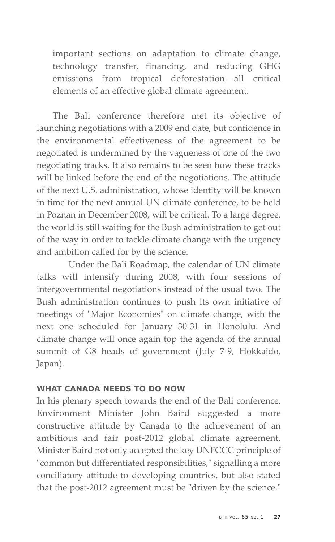important sections on adaptation to climate change, technology transfer, financing, and reducing GHG emissions from tropical deforestation—all critical elements of an effective global climate agreement.

The Bali conference therefore met its objective of launching negotiations with a 2009 end date, but confidence in the environmental effectiveness of the agreement to be negotiated is undermined by the vagueness of one of the two negotiating tracks. It also remains to be seen how these tracks will be linked before the end of the negotiations. The attitude of the next U.S. administration, whose identity will be known in time for the next annual UN climate conference, to be held in Poznan in December 2008, will be critical. To a large degree, the world is still waiting for the Bush administration to get out of the way in order to tackle climate change with the urgency and ambition called for by the science.

Under the Bali Roadmap, the calendar of UN climate talks will intensify during 2008, with four sessions of intergovernmental negotiations instead of the usual two. The Bush administration continues to push its own initiative of meetings of "Major Economies" on climate change, with the next one scheduled for January 30-31 in Honolulu. And climate change will once again top the agenda of the annual summit of G8 heads of government (July 7-9, Hokkaido, Japan).

# **WHAT CANADA NEEDS TO DO NOW**

In his plenary speech towards the end of the Bali conference, Environment Minister John Baird suggested a more constructive attitude by Canada to the achievement of an ambitious and fair post-2012 global climate agreement. Minister Baird not only accepted the key UNFCCC principle of "common but differentiated responsibilities," signalling a more conciliatory attitude to developing countries, but also stated that the post-2012 agreement must be "driven by the science."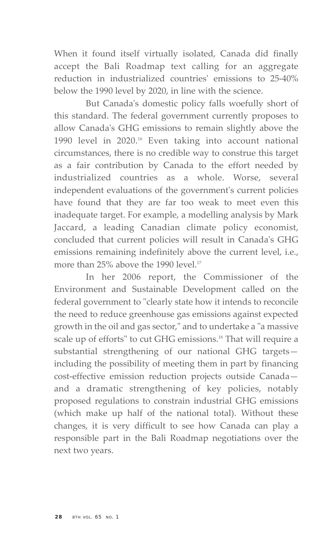When it found itself virtually isolated, Canada did finally accept the Bali Roadmap text calling for an aggregate reduction in industrialized countries' emissions to 25-40% below the 1990 level by 2020, in line with the science.

But Canada's domestic policy falls woefully short of this standard. The federal government currently proposes to allow Canada's GHG emissions to remain slightly above the 1990 level in 2020.<sup>16</sup> Even taking into account national circumstances, there is no credible way to construe this target as a fair contribution by Canada to the effort needed by industrialized countries as a whole. Worse, several independent evaluations of the government's current policies have found that they are far too weak to meet even this inadequate target. For example, a modelling analysis by Mark Jaccard, a leading Canadian climate policy economist, concluded that current policies will result in Canada's GHG emissions remaining indefinitely above the current level, i.e., more than 25% above the 1990 level.<sup>17</sup>

In her 2006 report, the Commissioner of the Environment and Sustainable Development called on the federal government to "clearly state how it intends to reconcile the need to reduce greenhouse gas emissions against expected growth in the oil and gas sector," and to undertake a "a massive scale up of efforts" to cut GHG emissions.<sup>18</sup> That will require a substantial strengthening of our national GHG targets including the possibility of meeting them in part by financing cost-effective emission reduction projects outside Canada and a dramatic strengthening of key policies, notably proposed regulations to constrain industrial GHG emissions (which make up half of the national total). Without these changes, it is very difficult to see how Canada can play a responsible part in the Bali Roadmap negotiations over the next two years.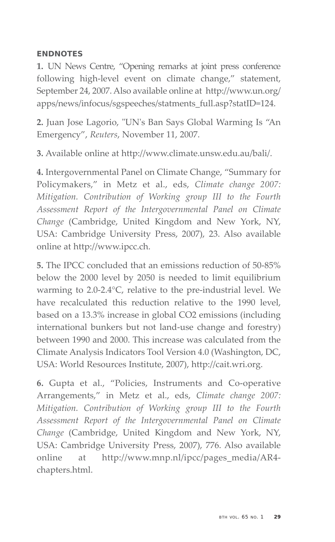# **ENDNOTES**

**1.** UN News Centre, "Opening remarks at joint press conference following high-level event on climate change," statement, September 24, 2007. Also available online at http://www.un.org/ apps/news/infocus/sgspeeches/statments\_full.asp?statID=124.

**2.** Juan Jose Lagorio, "UN's Ban Says Global Warming Is "An Emergency", *Reuters*, November 11, 2007.

**3.** Available online at http://www.climate.unsw.edu.au/bali/.

**4.** Intergovernmental Panel on Climate Change, "Summary for Policymakers," in Metz et al., eds, *Climate change 2007: Mitigation. Contribution of Working group III to the Fourth Assessment Report of the Intergovernmental Panel on Climate Change* (Cambridge, United Kingdom and New York, NY, USA: Cambridge University Press, 2007), 23. Also available online at http://www.ipcc.ch.

**5.** The IPCC concluded that an emissions reduction of 50-85% below the 2000 level by 2050 is needed to limit equilibrium warming to 2.0-2.4°C, relative to the pre-industrial level. We have recalculated this reduction relative to the 1990 level, based on a 13.3% increase in global CO2 emissions (including international bunkers but not land-use change and forestry) between 1990 and 2000. This increase was calculated from the Climate Analysis Indicators Tool Version 4.0 (Washington, DC, USA: World Resources Institute, 2007), http://cait.wri.org.

**6.** Gupta et al., "Policies, Instruments and Co-operative Arrangements," in Metz et al., eds, *Climate change 2007: Mitigation. Contribution of Working group III to the Fourth Assessment Report of the Intergovernmental Panel on Climate Change* (Cambridge, United Kingdom and New York, NY, USA: Cambridge University Press, 2007), 776. Also available online at http://www.mnp.nl/ipcc/pages\_media/AR4 chapters.html.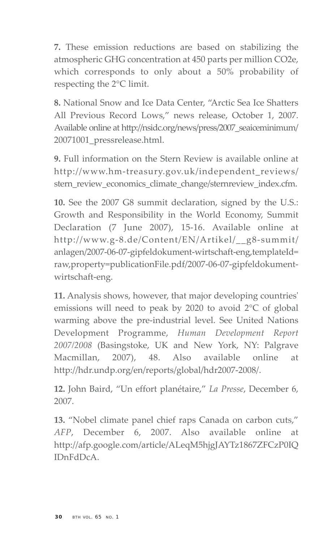**7.** These emission reductions are based on stabilizing the atmospheric GHG concentration at 450 parts per million CO2e, which corresponds to only about a 50% probability of respecting the 2°C limit.

**8.** National Snow and Ice Data Center, "Arctic Sea Ice Shatters All Previous Record Lows," news release, October 1, 2007. Available online at http://nsidc.org/news/press/2007\_seaiceminimum/ 20071001\_pressrelease.html.

**9.** Full information on the Stern Review is available online at http://www.hm-treasury.gov.uk/independent\_reviews/ stern review economics climate change/sternreview index.cfm.

**10.** See the 2007 G8 summit declaration, signed by the U.S.: Growth and Responsibility in the World Economy, Summit Declaration (7 June 2007), 15-16. Available online at http://www.g-8.de/Content/EN/Artikel/\_\_g8-summit/ anlagen/2007-06-07-gipfeldokument-wirtschaft-eng,templateId= raw,property=publicationFile.pdf/2007-06-07-gipfeldokumentwirtschaft-eng.

**11.** Analysis shows, however, that major developing countries' emissions will need to peak by 2020 to avoid 2°C of global warming above the pre-industrial level. See United Nations Development Programme, *Human Development Report 2007/2008* (Basingstoke, UK and New York, NY: Palgrave Macmillan, 2007), 48. Also available online at http://hdr.undp.org/en/reports/global/hdr2007-2008/.

**12.** John Baird, "Un effort planétaire," *La Presse*, December 6, 2007.

**13.** "Nobel climate panel chief raps Canada on carbon cuts," *AFP*, December 6, 2007. Also available online at http://afp.google.com/article/ALeqM5hjgJAYTz1867ZFCzP0IQ IDnFdDcA.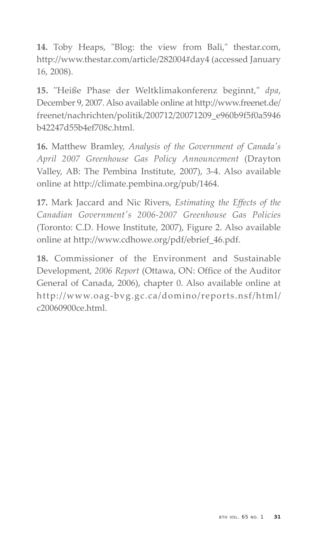**14.** Toby Heaps, "Blog: the view from Bali," thestar.com, http://www.thestar.com/article/282004#day4 (accessed January 16, 2008).

**15.** "Heiße Phase der Weltklimakonferenz beginnt," *dpa*, December 9, 2007. Also available online at http://www.freenet.de/ freenet/nachrichten/politik/200712/20071209\_e960b9f5f0a5946 b42247d55b4ef708c.html.

**16.** Matthew Bramley, *Analysis of the Government of Canada's April 2007 Greenhouse Gas Policy Announcement* (Drayton Valley, AB: The Pembina Institute, 2007), 3-4. Also available online at http://climate.pembina.org/pub/1464.

**17.** Mark Jaccard and Nic Rivers, *Estimating the Effects of the Canadian Government's 2006-2007 Greenhouse Gas Policies* (Toronto: C.D. Howe Institute, 2007), Figure 2. Also available online at http://www.cdhowe.org/pdf/ebrief\_46.pdf.

**18.** Commissioner of the Environment and Sustainable Development, *2006 Report* (Ottawa, ON: Office of the Auditor General of Canada, 2006), chapter 0. Also available online at http://www.oag-bvg.gc.ca/domino/reports.nsf/html/ c20060900ce.html.